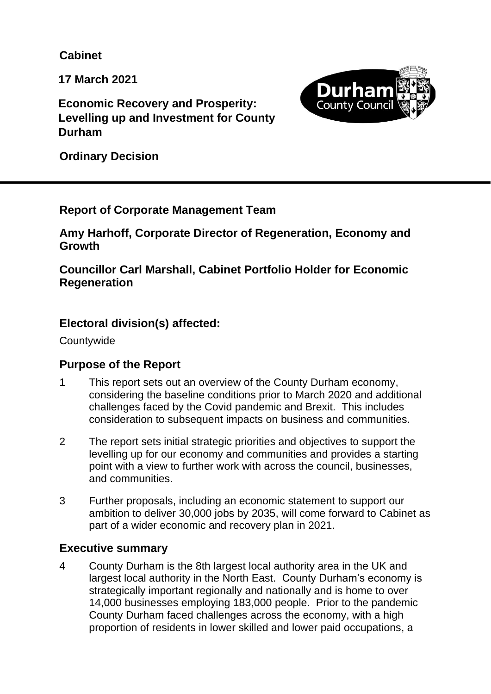**Cabinet**

**17 March 2021**

**Economic Recovery and Prosperity: Levelling up and Investment for County Durham** 



**Ordinary Decision**

# **Report of Corporate Management Team**

**Amy Harhoff, Corporate Director of Regeneration, Economy and Growth**

**Councillor Carl Marshall, Cabinet Portfolio Holder for Economic Regeneration**

# **Electoral division(s) affected:**

**Countywide** 

# **Purpose of the Report**

- 1 This report sets out an overview of the County Durham economy, considering the baseline conditions prior to March 2020 and additional challenges faced by the Covid pandemic and Brexit. This includes consideration to subsequent impacts on business and communities.
- 2 The report sets initial strategic priorities and objectives to support the levelling up for our economy and communities and provides a starting point with a view to further work with across the council, businesses, and communities.
- 3 Further proposals, including an economic statement to support our ambition to deliver 30,000 jobs by 2035, will come forward to Cabinet as part of a wider economic and recovery plan in 2021.

# **Executive summary**

4 County Durham is the 8th largest local authority area in the UK and largest local authority in the North East. County Durham's economy is strategically important regionally and nationally and is home to over 14,000 businesses employing 183,000 people. Prior to the pandemic County Durham faced challenges across the economy, with a high proportion of residents in lower skilled and lower paid occupations, a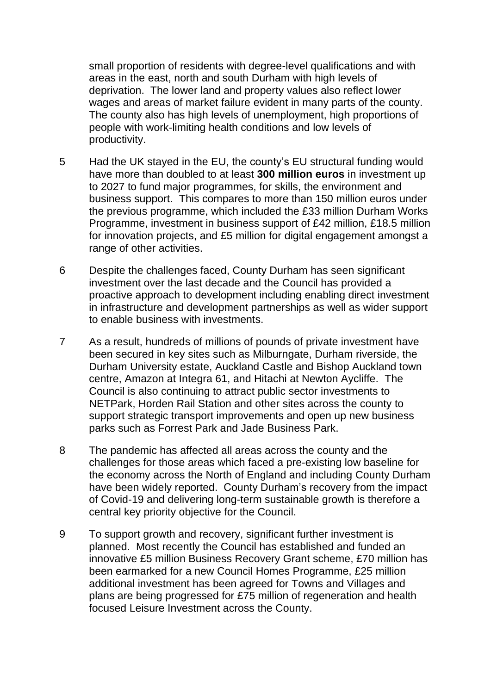small proportion of residents with degree-level qualifications and with areas in the east, north and south Durham with high levels of deprivation. The lower land and property values also reflect lower wages and areas of market failure evident in many parts of the county. The county also has high levels of unemployment, high proportions of people with work-limiting health conditions and low levels of productivity.

- 5 Had the UK stayed in the EU, the county's EU structural funding would have more than doubled to at least **300 million euros** in investment up to 2027 to fund major programmes, for skills, the environment and business support. This compares to more than 150 million euros under the previous programme, which included the £33 million Durham Works Programme, investment in business support of £42 million, £18.5 million for innovation projects, and £5 million for digital engagement amongst a range of other activities.
- 6 Despite the challenges faced, County Durham has seen significant investment over the last decade and the Council has provided a proactive approach to development including enabling direct investment in infrastructure and development partnerships as well as wider support to enable business with investments.
- 7 As a result, hundreds of millions of pounds of private investment have been secured in key sites such as Milburngate, Durham riverside, the Durham University estate, Auckland Castle and Bishop Auckland town centre, Amazon at Integra 61, and Hitachi at Newton Aycliffe. The Council is also continuing to attract public sector investments to NETPark, Horden Rail Station and other sites across the county to support strategic transport improvements and open up new business parks such as Forrest Park and Jade Business Park.
- 8 The pandemic has affected all areas across the county and the challenges for those areas which faced a pre-existing low baseline for the economy across the North of England and including County Durham have been widely reported. County Durham's recovery from the impact of Covid-19 and delivering long-term sustainable growth is therefore a central key priority objective for the Council.
- 9 To support growth and recovery, significant further investment is planned. Most recently the Council has established and funded an innovative £5 million Business Recovery Grant scheme, £70 million has been earmarked for a new Council Homes Programme, £25 million additional investment has been agreed for Towns and Villages and plans are being progressed for £75 million of regeneration and health focused Leisure Investment across the County.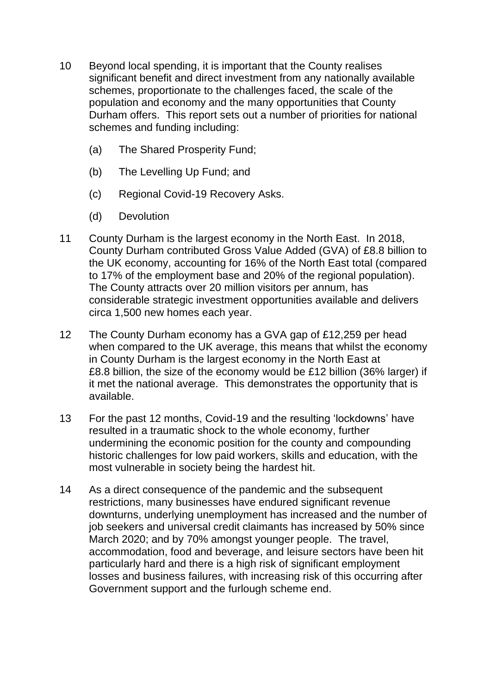- 10 Beyond local spending, it is important that the County realises significant benefit and direct investment from any nationally available schemes, proportionate to the challenges faced, the scale of the population and economy and the many opportunities that County Durham offers. This report sets out a number of priorities for national schemes and funding including:
	- (a) The Shared Prosperity Fund;
	- (b) The Levelling Up Fund; and
	- (c) Regional Covid-19 Recovery Asks.
	- (d) Devolution
- 11 County Durham is the largest economy in the North East. In 2018, County Durham contributed Gross Value Added (GVA) of £8.8 billion to the UK economy, accounting for 16% of the North East total (compared to 17% of the employment base and 20% of the regional population). The County attracts over 20 million visitors per annum, has considerable strategic investment opportunities available and delivers circa 1,500 new homes each year.
- 12 The County Durham economy has a GVA gap of £12,259 per head when compared to the UK average, this means that whilst the economy in County Durham is the largest economy in the North East at £8.8 billion, the size of the economy would be £12 billion (36% larger) if it met the national average. This demonstrates the opportunity that is available.
- 13 For the past 12 months, Covid-19 and the resulting 'lockdowns' have resulted in a traumatic shock to the whole economy, further undermining the economic position for the county and compounding historic challenges for low paid workers, skills and education, with the most vulnerable in society being the hardest hit.
- 14 As a direct consequence of the pandemic and the subsequent restrictions, many businesses have endured significant revenue downturns, underlying unemployment has increased and the number of job seekers and universal credit claimants has increased by 50% since March 2020; and by 70% amongst younger people. The travel, accommodation, food and beverage, and leisure sectors have been hit particularly hard and there is a high risk of significant employment losses and business failures, with increasing risk of this occurring after Government support and the furlough scheme end.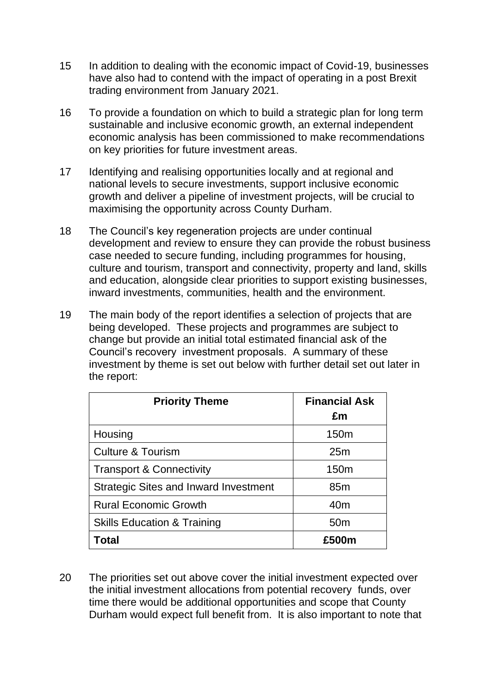- 15 In addition to dealing with the economic impact of Covid-19, businesses have also had to contend with the impact of operating in a post Brexit trading environment from January 2021.
- 16 To provide a foundation on which to build a strategic plan for long term sustainable and inclusive economic growth, an external independent economic analysis has been commissioned to make recommendations on key priorities for future investment areas.
- 17 Identifying and realising opportunities locally and at regional and national levels to secure investments, support inclusive economic growth and deliver a pipeline of investment projects, will be crucial to maximising the opportunity across County Durham.
- 18 The Council's key regeneration projects are under continual development and review to ensure they can provide the robust business case needed to secure funding, including programmes for housing, culture and tourism, transport and connectivity, property and land, skills and education, alongside clear priorities to support existing businesses, inward investments, communities, health and the environment.
- 19 The main body of the report identifies a selection of projects that are being developed. These projects and programmes are subject to change but provide an initial total estimated financial ask of the Council's recovery investment proposals. A summary of these investment by theme is set out below with further detail set out later in the report:

| <b>Priority Theme</b>                        | <b>Financial Ask</b><br>£m |
|----------------------------------------------|----------------------------|
| Housing                                      | 150 <sub>m</sub>           |
| <b>Culture &amp; Tourism</b>                 | 25m                        |
| <b>Transport &amp; Connectivity</b>          | 150 <sub>m</sub>           |
| <b>Strategic Sites and Inward Investment</b> | 85 <sub>m</sub>            |
| <b>Rural Economic Growth</b>                 | 40 <sub>m</sub>            |
| <b>Skills Education &amp; Training</b>       | 50 <sub>m</sub>            |
| <b>Total</b>                                 | £500m                      |

20 The priorities set out above cover the initial investment expected over the initial investment allocations from potential recovery funds, over time there would be additional opportunities and scope that County Durham would expect full benefit from. It is also important to note that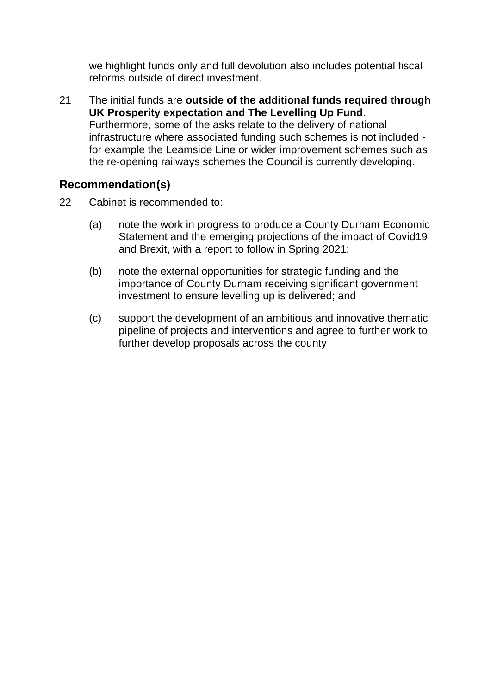we highlight funds only and full devolution also includes potential fiscal reforms outside of direct investment.

21 The initial funds are **outside of the additional funds required through UK Prosperity expectation and The Levelling Up Fund**. Furthermore, some of the asks relate to the delivery of national infrastructure where associated funding such schemes is not included for example the Leamside Line or wider improvement schemes such as the re-opening railways schemes the Council is currently developing.

# **Recommendation(s)**

- 22 Cabinet is recommended to:
	- (a) note the work in progress to produce a County Durham Economic Statement and the emerging projections of the impact of Covid19 and Brexit, with a report to follow in Spring 2021;
	- (b) note the external opportunities for strategic funding and the importance of County Durham receiving significant government investment to ensure levelling up is delivered; and
	- (c) support the development of an ambitious and innovative thematic pipeline of projects and interventions and agree to further work to further develop proposals across the county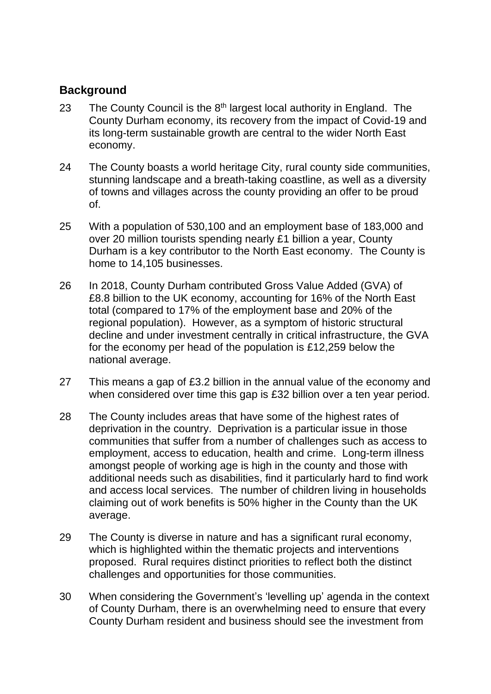# **Background**

- 23 The County Council is the  $8<sup>th</sup>$  largest local authority in England. The County Durham economy, its recovery from the impact of Covid-19 and its long-term sustainable growth are central to the wider North East economy.
- 24 The County boasts a world heritage City, rural county side communities, stunning landscape and a breath-taking coastline, as well as a diversity of towns and villages across the county providing an offer to be proud of.
- 25 With a population of 530,100 and an employment base of 183,000 and over 20 million tourists spending nearly £1 billion a year, County Durham is a key contributor to the North East economy. The County is home to 14,105 businesses.
- 26 In 2018, County Durham contributed Gross Value Added (GVA) of £8.8 billion to the UK economy, accounting for 16% of the North East total (compared to 17% of the employment base and 20% of the regional population). However, as a symptom of historic structural decline and under investment centrally in critical infrastructure, the GVA for the economy per head of the population is £12,259 below the national average.
- 27 This means a gap of £3.2 billion in the annual value of the economy and when considered over time this gap is £32 billion over a ten year period.
- 28 The County includes areas that have some of the highest rates of deprivation in the country. Deprivation is a particular issue in those communities that suffer from a number of challenges such as access to employment, access to education, health and crime. Long-term illness amongst people of working age is high in the county and those with additional needs such as disabilities, find it particularly hard to find work and access local services. The number of children living in households claiming out of work benefits is 50% higher in the County than the UK average.
- 29 The County is diverse in nature and has a significant rural economy, which is highlighted within the thematic projects and interventions proposed. Rural requires distinct priorities to reflect both the distinct challenges and opportunities for those communities.
- 30 When considering the Government's 'levelling up' agenda in the context of County Durham, there is an overwhelming need to ensure that every County Durham resident and business should see the investment from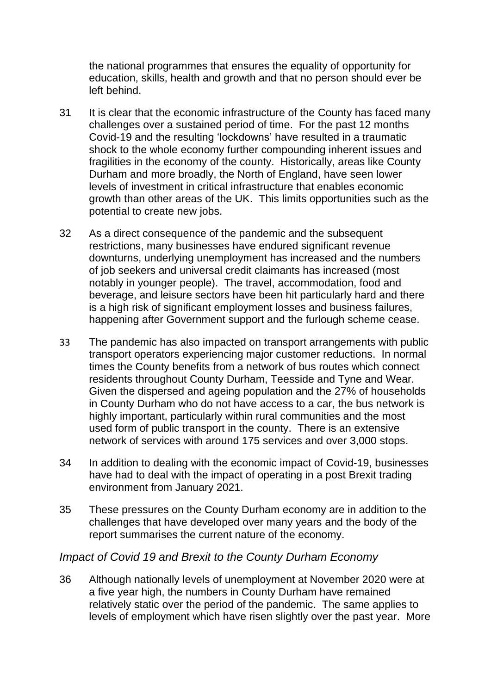the national programmes that ensures the equality of opportunity for education, skills, health and growth and that no person should ever be left behind.

- 31 It is clear that the economic infrastructure of the County has faced many challenges over a sustained period of time. For the past 12 months Covid-19 and the resulting 'lockdowns' have resulted in a traumatic shock to the whole economy further compounding inherent issues and fragilities in the economy of the county. Historically, areas like County Durham and more broadly, the North of England, have seen lower levels of investment in critical infrastructure that enables economic growth than other areas of the UK. This limits opportunities such as the potential to create new jobs.
- 32 As a direct consequence of the pandemic and the subsequent restrictions, many businesses have endured significant revenue downturns, underlying unemployment has increased and the numbers of job seekers and universal credit claimants has increased (most notably in younger people). The travel, accommodation, food and beverage, and leisure sectors have been hit particularly hard and there is a high risk of significant employment losses and business failures, happening after Government support and the furlough scheme cease.
- 33 The pandemic has also impacted on transport arrangements with public transport operators experiencing major customer reductions. In normal times the County benefits from a network of bus routes which connect residents throughout County Durham, Teesside and Tyne and Wear. Given the dispersed and ageing population and the 27% of households in County Durham who do not have access to a car, the bus network is highly important, particularly within rural communities and the most used form of public transport in the county. There is an extensive network of services with around 175 services and over 3,000 stops.
- 34 In addition to dealing with the economic impact of Covid-19, businesses have had to deal with the impact of operating in a post Brexit trading environment from January 2021.
- 35 These pressures on the County Durham economy are in addition to the challenges that have developed over many years and the body of the report summarises the current nature of the economy.

# *Impact of Covid 19 and Brexit to the County Durham Economy*

36 Although nationally levels of unemployment at November 2020 were at a five year high, the numbers in County Durham have remained relatively static over the period of the pandemic. The same applies to levels of employment which have risen slightly over the past year. More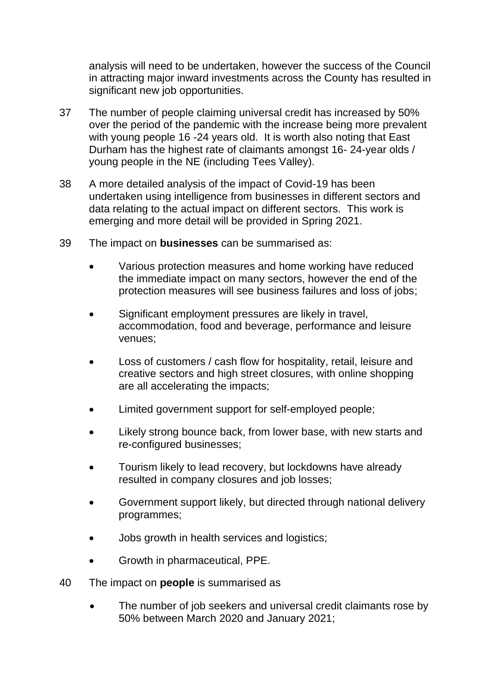analysis will need to be undertaken, however the success of the Council in attracting major inward investments across the County has resulted in significant new job opportunities.

- 37 The number of people claiming universal credit has increased by 50% over the period of the pandemic with the increase being more prevalent with young people 16 -24 years old. It is worth also noting that East Durham has the highest rate of claimants amongst 16- 24-year olds / young people in the NE (including Tees Valley).
- 38 A more detailed analysis of the impact of Covid-19 has been undertaken using intelligence from businesses in different sectors and data relating to the actual impact on different sectors. This work is emerging and more detail will be provided in Spring 2021.
- 39 The impact on **businesses** can be summarised as:
	- Various protection measures and home working have reduced the immediate impact on many sectors, however the end of the protection measures will see business failures and loss of jobs;
	- Significant employment pressures are likely in travel, accommodation, food and beverage, performance and leisure venues;
	- Loss of customers / cash flow for hospitality, retail, leisure and creative sectors and high street closures, with online shopping are all accelerating the impacts;
	- Limited government support for self-employed people;
	- Likely strong bounce back, from lower base, with new starts and re-configured businesses;
	- Tourism likely to lead recovery, but lockdowns have already resulted in company closures and job losses;
	- Government support likely, but directed through national delivery programmes;
	- Jobs growth in health services and logistics;
	- Growth in pharmaceutical, PPE.
- 40 The impact on **people** is summarised as
	- The number of job seekers and universal credit claimants rose by 50% between March 2020 and January 2021;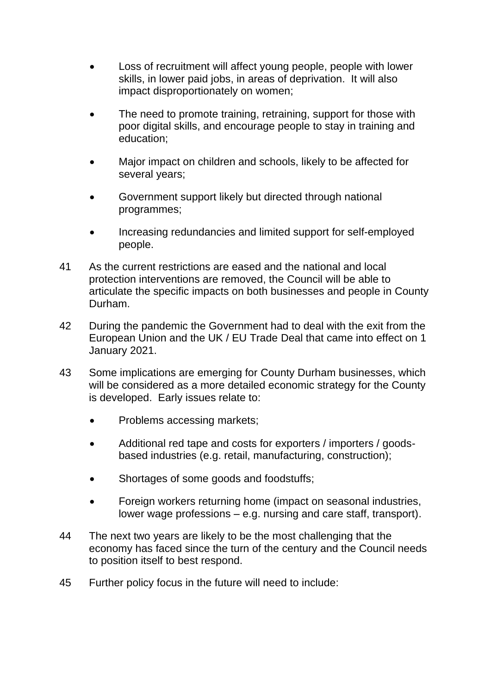- Loss of recruitment will affect young people, people with lower skills, in lower paid jobs, in areas of deprivation. It will also impact disproportionately on women;
- The need to promote training, retraining, support for those with poor digital skills, and encourage people to stay in training and education;
- Major impact on children and schools, likely to be affected for several years;
- Government support likely but directed through national programmes;
- Increasing redundancies and limited support for self-employed people.
- 41 As the current restrictions are eased and the national and local protection interventions are removed, the Council will be able to articulate the specific impacts on both businesses and people in County Durham.
- 42 During the pandemic the Government had to deal with the exit from the European Union and the UK / EU Trade Deal that came into effect on 1 January 2021.
- 43 Some implications are emerging for County Durham businesses, which will be considered as a more detailed economic strategy for the County is developed. Early issues relate to:
	- Problems accessing markets;
	- Additional red tape and costs for exporters / importers / goodsbased industries (e.g. retail, manufacturing, construction);
	- Shortages of some goods and foodstuffs;
	- Foreign workers returning home (impact on seasonal industries, lower wage professions – e.g. nursing and care staff, transport).
- 44 The next two years are likely to be the most challenging that the economy has faced since the turn of the century and the Council needs to position itself to best respond.
- 45 Further policy focus in the future will need to include: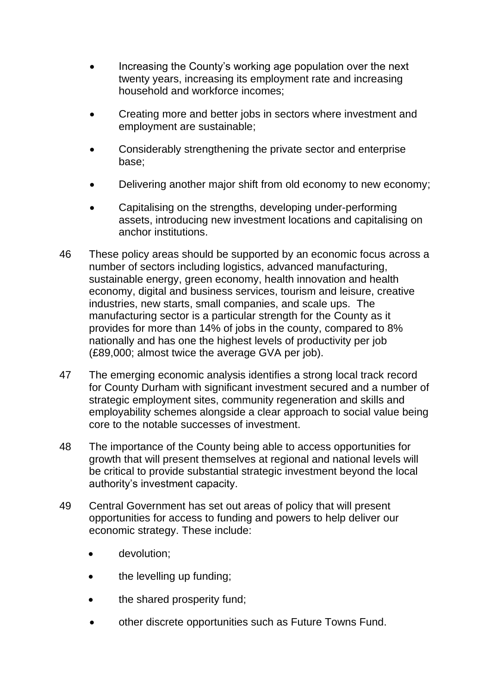- Increasing the County's working age population over the next twenty years, increasing its employment rate and increasing household and workforce incomes;
- Creating more and better jobs in sectors where investment and employment are sustainable;
- Considerably strengthening the private sector and enterprise base;
- Delivering another major shift from old economy to new economy;
- Capitalising on the strengths, developing under-performing assets, introducing new investment locations and capitalising on anchor institutions.
- 46 These policy areas should be supported by an economic focus across a number of sectors including logistics, advanced manufacturing, sustainable energy, green economy, health innovation and health economy, digital and business services, tourism and leisure, creative industries, new starts, small companies, and scale ups. The manufacturing sector is a particular strength for the County as it provides for more than 14% of jobs in the county, compared to 8% nationally and has one the highest levels of productivity per job (£89,000; almost twice the average GVA per job).
- 47 The emerging economic analysis identifies a strong local track record for County Durham with significant investment secured and a number of strategic employment sites, community regeneration and skills and employability schemes alongside a clear approach to social value being core to the notable successes of investment.
- 48 The importance of the County being able to access opportunities for growth that will present themselves at regional and national levels will be critical to provide substantial strategic investment beyond the local authority's investment capacity.
- 49 Central Government has set out areas of policy that will present opportunities for access to funding and powers to help deliver our economic strategy. These include:
	- devolution;
	- the levelling up funding;
	- the shared prosperity fund;
	- other discrete opportunities such as Future Towns Fund.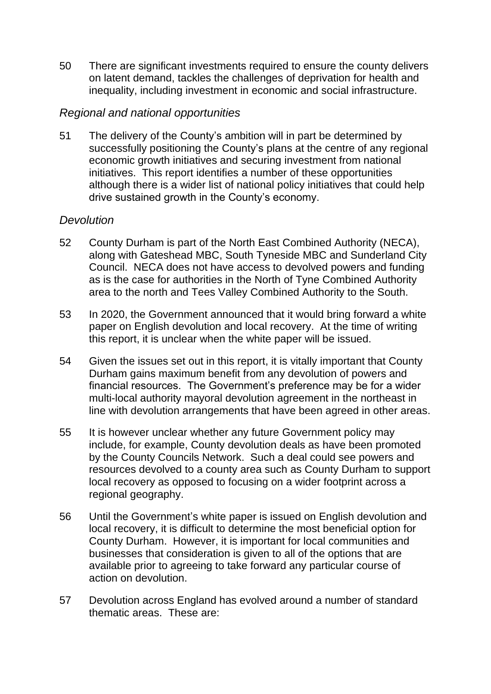50 There are significant investments required to ensure the county delivers on latent demand, tackles the challenges of deprivation for health and inequality, including investment in economic and social infrastructure.

# *Regional and national opportunities*

51 The delivery of the County's ambition will in part be determined by successfully positioning the County's plans at the centre of any regional economic growth initiatives and securing investment from national initiatives. This report identifies a number of these opportunities although there is a wider list of national policy initiatives that could help drive sustained growth in the County's economy.

#### *Devolution*

- 52 County Durham is part of the North East Combined Authority (NECA), along with Gateshead MBC, South Tyneside MBC and Sunderland City Council. NECA does not have access to devolved powers and funding as is the case for authorities in the North of Tyne Combined Authority area to the north and Tees Valley Combined Authority to the South.
- 53 In 2020, the Government announced that it would bring forward a white paper on English devolution and local recovery. At the time of writing this report, it is unclear when the white paper will be issued.
- 54 Given the issues set out in this report, it is vitally important that County Durham gains maximum benefit from any devolution of powers and financial resources. The Government's preference may be for a wider multi-local authority mayoral devolution agreement in the northeast in line with devolution arrangements that have been agreed in other areas.
- 55 It is however unclear whether any future Government policy may include, for example, County devolution deals as have been promoted by the County Councils Network. Such a deal could see powers and resources devolved to a county area such as County Durham to support local recovery as opposed to focusing on a wider footprint across a regional geography.
- 56 Until the Government's white paper is issued on English devolution and local recovery, it is difficult to determine the most beneficial option for County Durham. However, it is important for local communities and businesses that consideration is given to all of the options that are available prior to agreeing to take forward any particular course of action on devolution.
- 57 Devolution across England has evolved around a number of standard thematic areas. These are: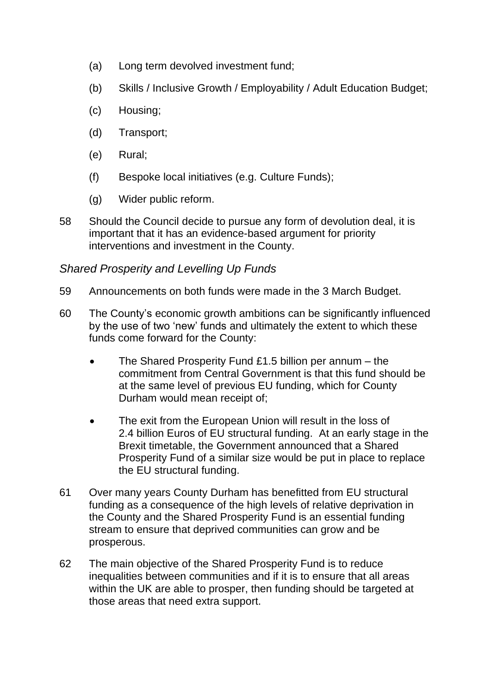- (a) Long term devolved investment fund;
- (b) Skills / Inclusive Growth / Employability / Adult Education Budget;
- (c) Housing;
- (d) Transport;
- (e) Rural;
- (f) Bespoke local initiatives (e.g. Culture Funds);
- (g) Wider public reform.
- 58 Should the Council decide to pursue any form of devolution deal, it is important that it has an evidence-based argument for priority interventions and investment in the County.

# *Shared Prosperity and Levelling Up Funds*

- 59 Announcements on both funds were made in the 3 March Budget.
- 60 The County's economic growth ambitions can be significantly influenced by the use of two 'new' funds and ultimately the extent to which these funds come forward for the County:
	- The Shared Prosperity Fund £1.5 billion per annum the commitment from Central Government is that this fund should be at the same level of previous EU funding, which for County Durham would mean receipt of;
	- The exit from the European Union will result in the loss of 2.4 billion Euros of EU structural funding. At an early stage in the Brexit timetable, the Government announced that a Shared Prosperity Fund of a similar size would be put in place to replace the EU structural funding.
- 61 Over many years County Durham has benefitted from EU structural funding as a consequence of the high levels of relative deprivation in the County and the Shared Prosperity Fund is an essential funding stream to ensure that deprived communities can grow and be prosperous.
- 62 The main objective of the Shared Prosperity Fund is to reduce inequalities between communities and if it is to ensure that all areas within the UK are able to prosper, then funding should be targeted at those areas that need extra support.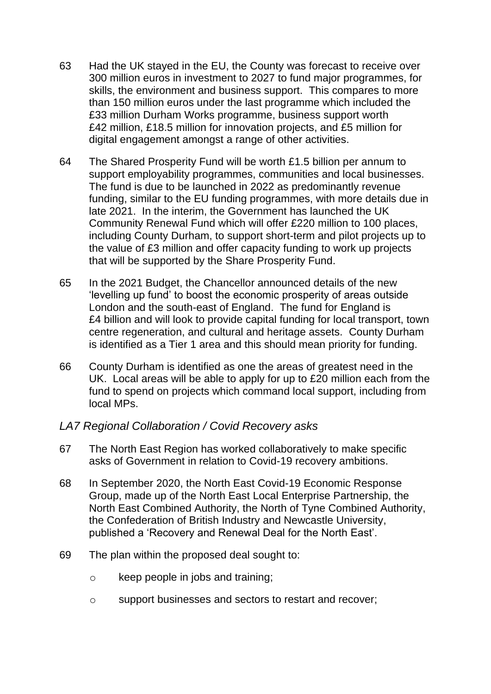- 63 Had the UK stayed in the EU, the County was forecast to receive over 300 million euros in investment to 2027 to fund major programmes, for skills, the environment and business support. This compares to more than 150 million euros under the last programme which included the £33 million Durham Works programme, business support worth £42 million, £18.5 million for innovation projects, and £5 million for digital engagement amongst a range of other activities.
- 64 The Shared Prosperity Fund will be worth £1.5 billion per annum to support employability programmes, communities and local businesses. The fund is due to be launched in 2022 as predominantly revenue funding, similar to the EU funding programmes, with more details due in late 2021. In the interim, the Government has launched the UK Community Renewal Fund which will offer £220 million to 100 places, including County Durham, to support short-term and pilot projects up to the value of £3 million and offer capacity funding to work up projects that will be supported by the Share Prosperity Fund.
- 65 In the 2021 Budget, the Chancellor announced details of the new 'levelling up fund' to boost the economic prosperity of areas outside London and the south-east of England. The fund for England is £4 billion and will look to provide capital funding for local transport, town centre regeneration, and cultural and heritage assets. County Durham is identified as a Tier 1 area and this should mean priority for funding.
- 66 County Durham is identified as one the areas of greatest need in the UK. Local areas will be able to apply for up to £20 million each from the fund to spend on projects which command local support, including from local MPs.
- *LA7 Regional Collaboration / Covid Recovery asks*
- 67 The North East Region has worked collaboratively to make specific asks of Government in relation to Covid-19 recovery ambitions.
- 68 In September 2020, the North East Covid-19 Economic Response Group, made up of the North East Local Enterprise Partnership, the North East Combined Authority, the North of Tyne Combined Authority, the Confederation of British Industry and Newcastle University, published a 'Recovery and Renewal Deal for the North East'.
- 69 The plan within the proposed deal sought to:
	- o keep people in jobs and training;
	- o support businesses and sectors to restart and recover;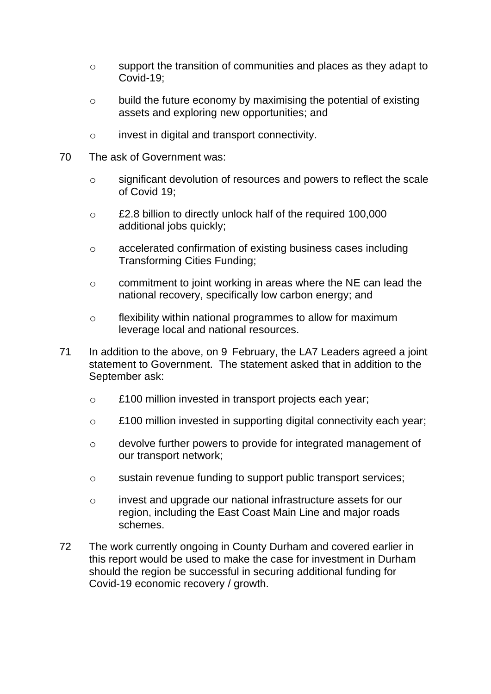- o support the transition of communities and places as they adapt to Covid-19;
- o build the future economy by maximising the potential of existing assets and exploring new opportunities; and
- o invest in digital and transport connectivity.
- 70 The ask of Government was:
	- o significant devolution of resources and powers to reflect the scale of Covid 19;
	- o £2.8 billion to directly unlock half of the required 100,000 additional jobs quickly;
	- o accelerated confirmation of existing business cases including Transforming Cities Funding;
	- o commitment to joint working in areas where the NE can lead the national recovery, specifically low carbon energy; and
	- o flexibility within national programmes to allow for maximum leverage local and national resources.
- 71 In addition to the above, on 9 February, the LA7 Leaders agreed a joint statement to Government. The statement asked that in addition to the September ask:
	- o £100 million invested in transport projects each year;
	- o £100 million invested in supporting digital connectivity each year;
	- o devolve further powers to provide for integrated management of our transport network;
	- o sustain revenue funding to support public transport services;
	- o invest and upgrade our national infrastructure assets for our region, including the East Coast Main Line and major roads schemes.
- 72 The work currently ongoing in County Durham and covered earlier in this report would be used to make the case for investment in Durham should the region be successful in securing additional funding for Covid-19 economic recovery / growth.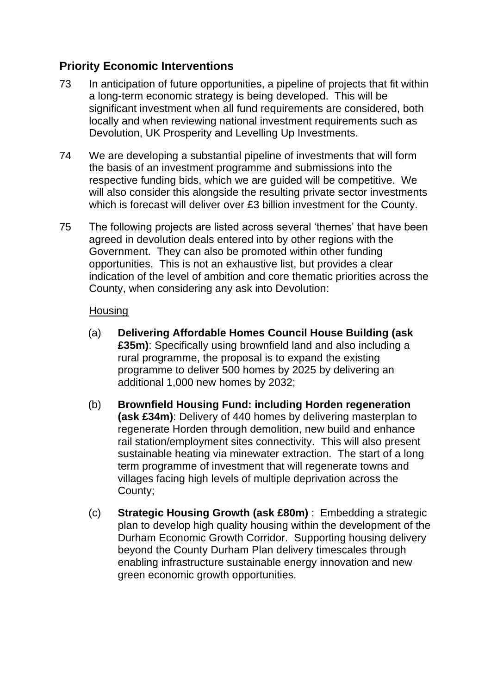# **Priority Economic Interventions**

- 73 In anticipation of future opportunities, a pipeline of projects that fit within a long-term economic strategy is being developed. This will be significant investment when all fund requirements are considered, both locally and when reviewing national investment requirements such as Devolution, UK Prosperity and Levelling Up Investments.
- 74 We are developing a substantial pipeline of investments that will form the basis of an investment programme and submissions into the respective funding bids, which we are guided will be competitive. We will also consider this alongside the resulting private sector investments which is forecast will deliver over £3 billion investment for the County.
- 75 The following projects are listed across several 'themes' that have been agreed in devolution deals entered into by other regions with the Government. They can also be promoted within other funding opportunities. This is not an exhaustive list, but provides a clear indication of the level of ambition and core thematic priorities across the County, when considering any ask into Devolution:

#### **Housing**

- (a) **Delivering Affordable Homes Council House Building (ask £35m)**: Specifically using brownfield land and also including a rural programme, the proposal is to expand the existing programme to deliver 500 homes by 2025 by delivering an additional 1,000 new homes by 2032;
- (b) **Brownfield Housing Fund: including Horden regeneration (ask £34m)**: Delivery of 440 homes by delivering masterplan to regenerate Horden through demolition, new build and enhance rail station/employment sites connectivity. This will also present sustainable heating via minewater extraction. The start of a long term programme of investment that will regenerate towns and villages facing high levels of multiple deprivation across the County;
- (c) **Strategic Housing Growth (ask £80m)** : Embedding a strategic plan to develop high quality housing within the development of the Durham Economic Growth Corridor. Supporting housing delivery beyond the County Durham Plan delivery timescales through enabling infrastructure sustainable energy innovation and new green economic growth opportunities.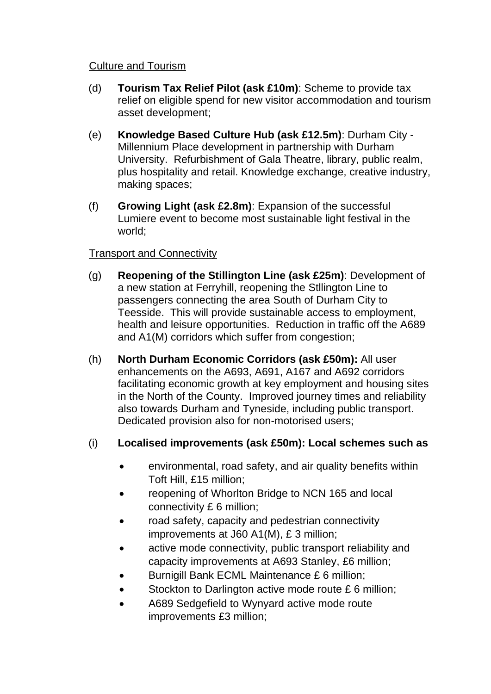#### Culture and Tourism

- (d) **Tourism Tax Relief Pilot (ask £10m)**: Scheme to provide tax relief on eligible spend for new visitor accommodation and tourism asset development;
- (e) **Knowledge Based Culture Hub (ask £12.5m)**: Durham City Millennium Place development in partnership with Durham University. Refurbishment of Gala Theatre, library, public realm, plus hospitality and retail. Knowledge exchange, creative industry, making spaces;
- (f) **Growing Light (ask £2.8m)**: Expansion of the successful Lumiere event to become most sustainable light festival in the world;

#### Transport and Connectivity

- (g) **Reopening of the Stillington Line (ask £25m)**: Development of a new station at Ferryhill, reopening the Stllington Line to passengers connecting the area South of Durham City to Teesside. This will provide sustainable access to employment, health and leisure opportunities. Reduction in traffic off the A689 and A1(M) corridors which suffer from congestion;
- (h) **North Durham Economic Corridors (ask £50m):** All user enhancements on the A693, A691, A167 and A692 corridors facilitating economic growth at key employment and housing sites in the North of the County. Improved journey times and reliability also towards Durham and Tyneside, including public transport. Dedicated provision also for non-motorised users;

# (i) **Localised improvements (ask £50m): Local schemes such as**

- environmental, road safety, and air quality benefits within Toft Hill, £15 million;
- reopening of Whorlton Bridge to NCN 165 and local connectivity £ 6 million;
- road safety, capacity and pedestrian connectivity improvements at J60 A1(M), £ 3 million;
- active mode connectivity, public transport reliability and capacity improvements at A693 Stanley, £6 million;
- Burnigill Bank ECML Maintenance £ 6 million;
- Stockton to Darlington active mode route £6 million;
- A689 Sedgefield to Wynyard active mode route improvements £3 million;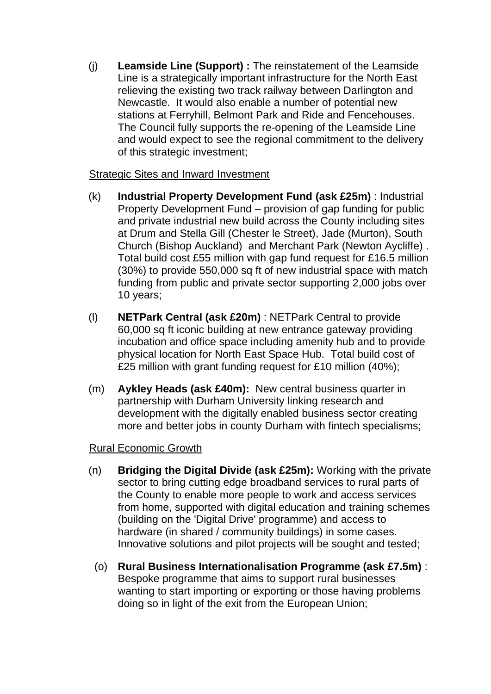(j) **Leamside Line (Support) :** The reinstatement of the Leamside Line is a strategically important infrastructure for the North East relieving the existing two track railway between Darlington and Newcastle. It would also enable a number of potential new stations at Ferryhill, Belmont Park and Ride and Fencehouses. The Council fully supports the re-opening of the Leamside Line and would expect to see the regional commitment to the delivery of this strategic investment;

#### Strategic Sites and Inward Investment

- (k) **Industrial Property Development Fund (ask £25m)** : Industrial Property Development Fund – provision of gap funding for public and private industrial new build across the County including sites at Drum and Stella Gill (Chester le Street), Jade (Murton), South Church (Bishop Auckland) and Merchant Park (Newton Aycliffe) . Total build cost £55 million with gap fund request for £16.5 million (30%) to provide 550,000 sq ft of new industrial space with match funding from public and private sector supporting 2,000 jobs over 10 years;
- (l) **NETPark Central (ask £20m)** : NETPark Central to provide 60,000 sq ft iconic building at new entrance gateway providing incubation and office space including amenity hub and to provide physical location for North East Space Hub. Total build cost of £25 million with grant funding request for £10 million (40%);
- (m) **Aykley Heads (ask £40m):** New central business quarter in partnership with Durham University linking research and development with the digitally enabled business sector creating more and better jobs in county Durham with fintech specialisms;

#### Rural Economic Growth

- (n) **Bridging the Digital Divide (ask £25m):** Working with the private sector to bring cutting edge broadband services to rural parts of the County to enable more people to work and access services from home, supported with digital education and training schemes (building on the 'Digital Drive' programme) and access to hardware (in shared / community buildings) in some cases. Innovative solutions and pilot projects will be sought and tested;
	- (o) **Rural Business Internationalisation Programme (ask £7.5m)** : Bespoke programme that aims to support rural businesses wanting to start importing or exporting or those having problems doing so in light of the exit from the European Union;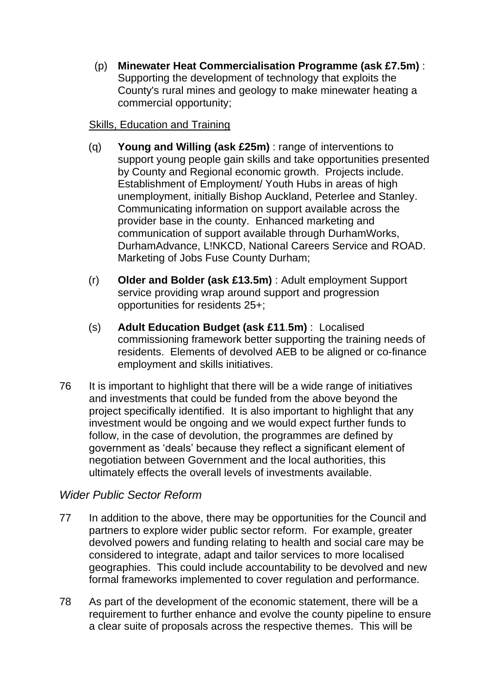(p) **Minewater Heat Commercialisation Programme (ask £7.5m)** : Supporting the development of technology that exploits the County's rural mines and geology to make minewater heating a commercial opportunity;

#### Skills, Education and Training

- (q) **Young and Willing (ask £25m)** : range of interventions to support young people gain skills and take opportunities presented by County and Regional economic growth. Projects include. Establishment of Employment/ Youth Hubs in areas of high unemployment, initially Bishop Auckland, Peterlee and Stanley. Communicating information on support available across the provider base in the county. Enhanced marketing and communication of support available through DurhamWorks, DurhamAdvance, L!NKCD, National Careers Service and ROAD. Marketing of Jobs Fuse County Durham;
- (r) **Older and Bolder (ask £13.5m)** : Adult employment Support service providing wrap around support and progression opportunities for residents 25+;
- (s) **Adult Education Budget (ask £11**.**5m)** : Localised commissioning framework better supporting the training needs of residents. Elements of devolved AEB to be aligned or co-finance employment and skills initiatives.
- 76 It is important to highlight that there will be a wide range of initiatives and investments that could be funded from the above beyond the project specifically identified. It is also important to highlight that any investment would be ongoing and we would expect further funds to follow, in the case of devolution, the programmes are defined by government as 'deals' because they reflect a significant element of negotiation between Government and the local authorities, this ultimately effects the overall levels of investments available.

# *Wider Public Sector Reform*

- 77 In addition to the above, there may be opportunities for the Council and partners to explore wider public sector reform. For example, greater devolved powers and funding relating to health and social care may be considered to integrate, adapt and tailor services to more localised geographies. This could include accountability to be devolved and new formal frameworks implemented to cover regulation and performance.
- 78 As part of the development of the economic statement, there will be a requirement to further enhance and evolve the county pipeline to ensure a clear suite of proposals across the respective themes. This will be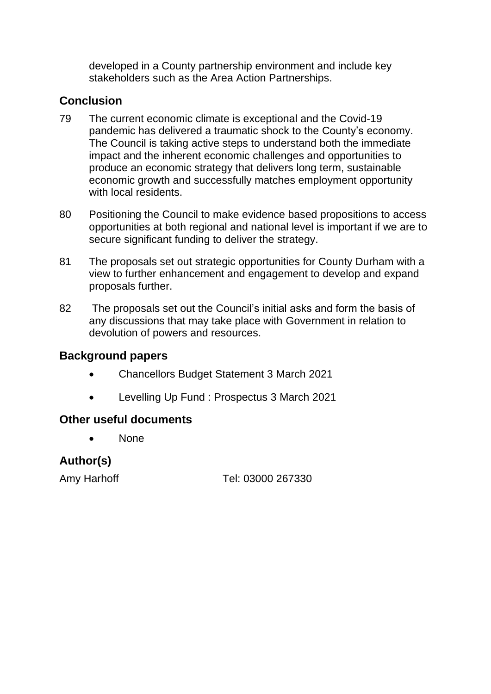developed in a County partnership environment and include key stakeholders such as the Area Action Partnerships.

# **Conclusion**

- 79 The current economic climate is exceptional and the Covid-19 pandemic has delivered a traumatic shock to the County's economy. The Council is taking active steps to understand both the immediate impact and the inherent economic challenges and opportunities to produce an economic strategy that delivers long term, sustainable economic growth and successfully matches employment opportunity with local residents.
- 80 Positioning the Council to make evidence based propositions to access opportunities at both regional and national level is important if we are to secure significant funding to deliver the strategy.
- 81 The proposals set out strategic opportunities for County Durham with a view to further enhancement and engagement to develop and expand proposals further.
- 82 The proposals set out the Council's initial asks and form the basis of any discussions that may take place with Government in relation to devolution of powers and resources.

# **Background papers**

- Chancellors Budget Statement 3 March 2021
- Levelling Up Fund : Prospectus 3 March 2021

# **Other useful documents**

• None

# **Author(s)**

Amy Harhoff Tel: 03000 267330